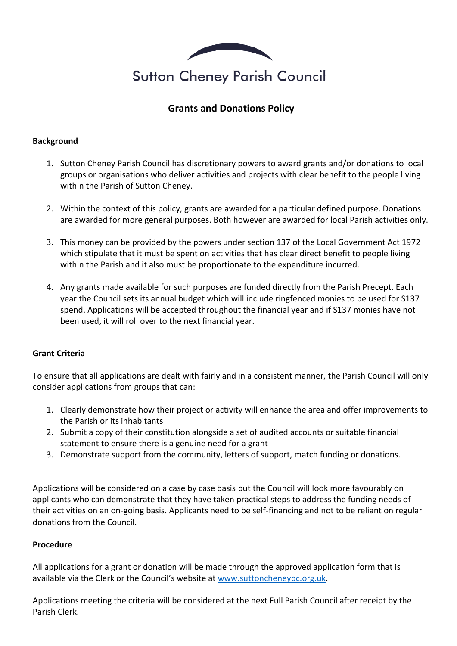

# **Grants and Donations Policy**

### **Background**

- 1. Sutton Cheney Parish Council has discretionary powers to award grants and/or donations to local groups or organisations who deliver activities and projects with clear benefit to the people living within the Parish of Sutton Cheney.
- 2. Within the context of this policy, grants are awarded for a particular defined purpose. Donations are awarded for more general purposes. Both however are awarded for local Parish activities only.
- 3. This money can be provided by the powers under section 137 of the Local Government Act 1972 which stipulate that it must be spent on activities that has clear direct benefit to people living within the Parish and it also must be proportionate to the expenditure incurred.
- 4. Any grants made available for such purposes are funded directly from the Parish Precept. Each year the Council sets its annual budget which will include ringfenced monies to be used for S137 spend. Applications will be accepted throughout the financial year and if S137 monies have not been used, it will roll over to the next financial year.

#### **Grant Criteria**

To ensure that all applications are dealt with fairly and in a consistent manner, the Parish Council will only consider applications from groups that can:

- 1. Clearly demonstrate how their project or activity will enhance the area and offer improvements to the Parish or its inhabitants
- 2. Submit a copy of their constitution alongside a set of audited accounts or suitable financial statement to ensure there is a genuine need for a grant
- 3. Demonstrate support from the community, letters of support, match funding or donations.

Applications will be considered on a case by case basis but the Council will look more favourably on applicants who can demonstrate that they have taken practical steps to address the funding needs of their activities on an on-going basis. Applicants need to be self-financing and not to be reliant on regular donations from the Council.

#### **Procedure**

All applications for a grant or donation will be made through the approved application form that is available via the Clerk or the Council's website a[t www.suttoncheneypc.org.uk.](http://www.suttoncheneypc.org.uk/)

Applications meeting the criteria will be considered at the next Full Parish Council after receipt by the Parish Clerk.